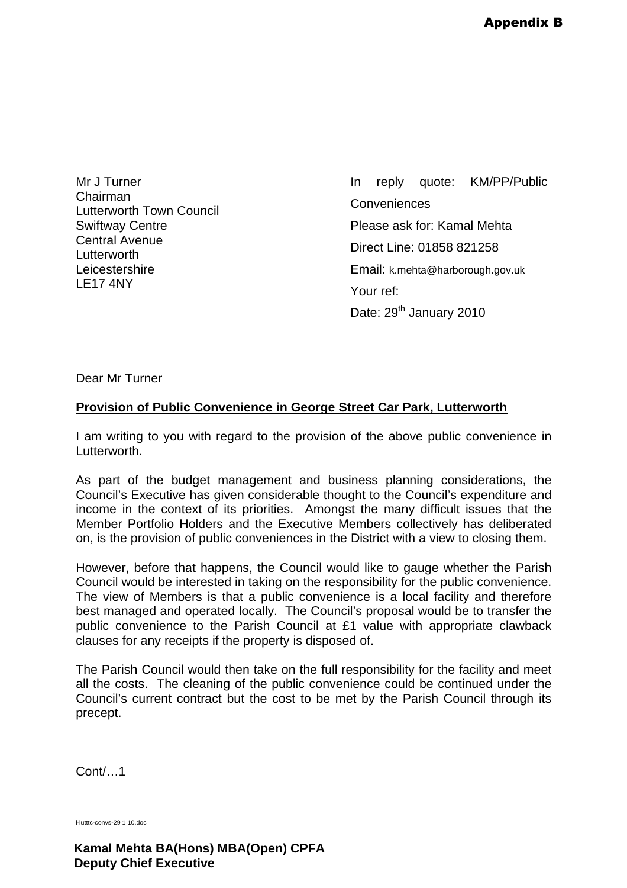Mr J Turner Chairman Lutterworth Town Council Swiftway Centre Central Avenue Lutterworth **Leicestershire** LE17 4NY

In reply quote: KM/PP/Public **Conveniences** Please ask for: Kamal Mehta Direct Line: 01858 821258 Email: k.mehta@harborough.gov.uk Your ref: Date: 29<sup>th</sup> January 2010

Dear Mr Turner

## **Provision of Public Convenience in George Street Car Park, Lutterworth**

I am writing to you with regard to the provision of the above public convenience in Lutterworth.

As part of the budget management and business planning considerations, the Council's Executive has given considerable thought to the Council's expenditure and income in the context of its priorities. Amongst the many difficult issues that the Member Portfolio Holders and the Executive Members collectively has deliberated on, is the provision of public conveniences in the District with a view to closing them.

However, before that happens, the Council would like to gauge whether the Parish Council would be interested in taking on the responsibility for the public convenience. The view of Members is that a public convenience is a local facility and therefore best managed and operated locally. The Council's proposal would be to transfer the public convenience to the Parish Council at £1 value with appropriate clawback clauses for any receipts if the property is disposed of.

The Parish Council would then take on the full responsibility for the facility and meet all the costs. The cleaning of the public convenience could be continued under the Council's current contract but the cost to be met by the Parish Council through its precept.

Cont/…1

l-lutttc-convs-29 1 10.doc

**Kamal Mehta BA(Hons) MBA(Open) CPFA Deputy Chief Executive**